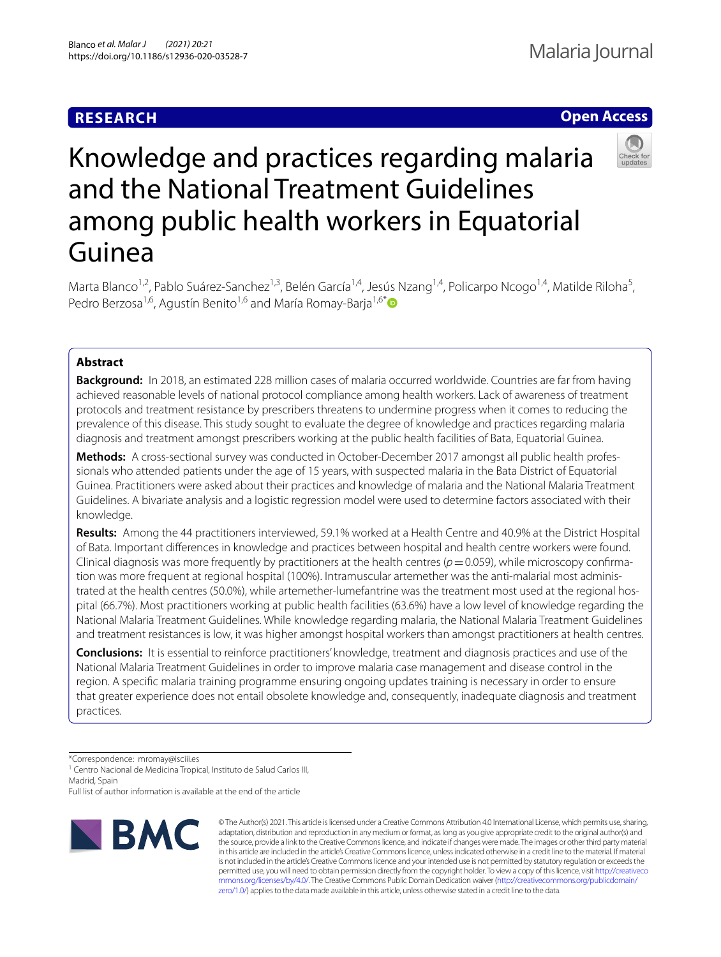# **RESEARCH**

# **Open Access**



# Knowledge and practices regarding malaria and the National Treatment Guidelines among public health workers in Equatorial Guinea

Marta Blanco<sup>1,2</sup>, Pablo Suárez-Sanchez<sup>1,3</sup>, Belén García<sup>1,4</sup>, Jesús Nzang<sup>1,4</sup>, Policarpo Ncogo<sup>1,4</sup>, Matilde Riloha<sup>5</sup>, Pedro Berzosa<sup>1,6</sup>, Agustín Benito<sup>1,6</sup> and María Romay-Baria<sup>1,6[\\*](http://orcid.org/0000-0002-0177-6885)</sup>

# **Abstract**

**Background:** In 2018, an estimated 228 million cases of malaria occurred worldwide. Countries are far from having achieved reasonable levels of national protocol compliance among health workers. Lack of awareness of treatment protocols and treatment resistance by prescribers threatens to undermine progress when it comes to reducing the prevalence of this disease. This study sought to evaluate the degree of knowledge and practices regarding malaria diagnosis and treatment amongst prescribers working at the public health facilities of Bata, Equatorial Guinea.

Methods: A cross-sectional survey was conducted in October-December 2017 amongst all public health professionals who attended patients under the age of 15 years, with suspected malaria in the Bata District of Equatorial Guinea. Practitioners were asked about their practices and knowledge of malaria and the National Malaria Treatment Guidelines. A bivariate analysis and a logistic regression model were used to determine factors associated with their knowledge.

**Results:** Among the 44 practitioners interviewed, 59.1% worked at a Health Centre and 40.9% at the District Hospital of Bata. Important diferences in knowledge and practices between hospital and health centre workers were found. Clinical diagnosis was more frequently by practitioners at the health centres ( $p=0.059$ ), while microscopy confirmation was more frequent at regional hospital (100%). Intramuscular artemether was the anti-malarial most administrated at the health centres (50.0%), while artemether-lumefantrine was the treatment most used at the regional hospital (66.7%). Most practitioners working at public health facilities (63.6%) have a low level of knowledge regarding the National Malaria Treatment Guidelines. While knowledge regarding malaria, the National Malaria Treatment Guidelines and treatment resistances is low, it was higher amongst hospital workers than amongst practitioners at health centres.

**Conclusions:** It is essential to reinforce practitioners' knowledge, treatment and diagnosis practices and use of the National Malaria Treatment Guidelines in order to improve malaria case management and disease control in the region. A specifc malaria training programme ensuring ongoing updates training is necessary in order to ensure that greater experience does not entail obsolete knowledge and, consequently, inadequate diagnosis and treatment practices.

\*Correspondence: mromay@isciii.es

<sup>1</sup> Centro Nacional de Medicina Tropical, Instituto de Salud Carlos III, Madrid, Spain

Full list of author information is available at the end of the article



© The Author(s) 2021. This article is licensed under a Creative Commons Attribution 4.0 International License, which permits use, sharing, adaptation, distribution and reproduction in any medium or format, as long as you give appropriate credit to the original author(s) and the source, provide a link to the Creative Commons licence, and indicate if changes were made. The images or other third party material in this article are included in the article's Creative Commons licence, unless indicated otherwise in a credit line to the material. If material is not included in the article's Creative Commons licence and your intended use is not permitted by statutory regulation or exceeds the permitted use, you will need to obtain permission directly from the copyright holder. To view a copy of this licence, visit [http://creativeco](http://creativecommons.org/licenses/by/4.0/) [mmons.org/licenses/by/4.0/.](http://creativecommons.org/licenses/by/4.0/) The Creative Commons Public Domain Dedication waiver ([http://creativecommons.org/publicdomain/](http://creativecommons.org/publicdomain/zero/1.0/) [zero/1.0/\)](http://creativecommons.org/publicdomain/zero/1.0/) applies to the data made available in this article, unless otherwise stated in a credit line to the data.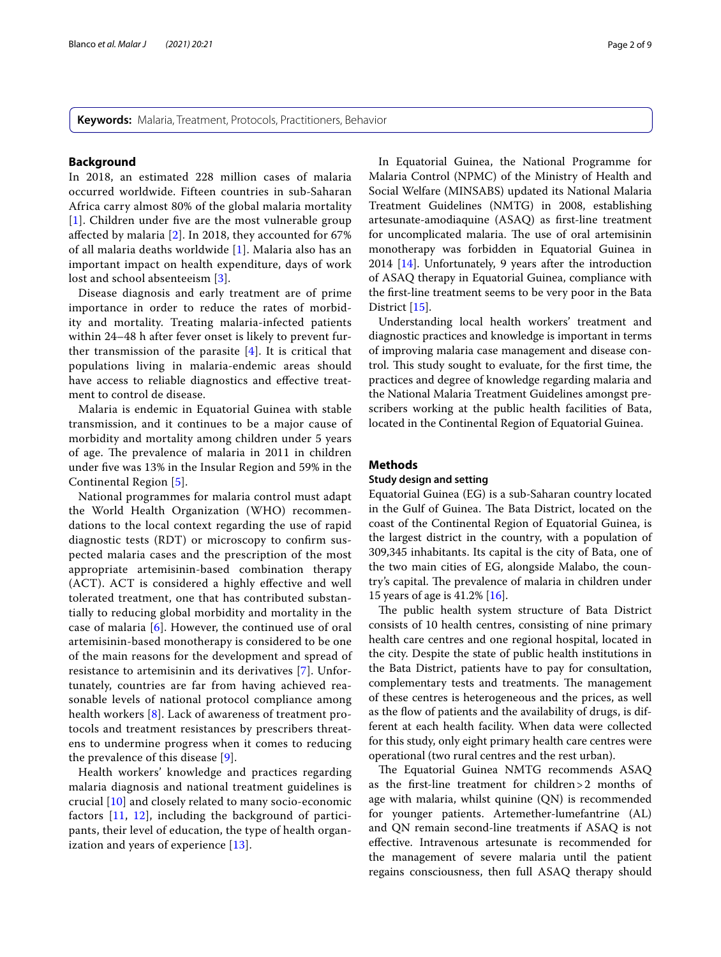**Keywords:** Malaria, Treatment, Protocols, Practitioners, Behavior

#### **Background**

In 2018, an estimated 228 million cases of malaria occurred worldwide. Fifteen countries in sub-Saharan Africa carry almost 80% of the global malaria mortality [[1](#page-8-0)]. Children under five are the most vulnerable group afected by malaria [\[2](#page-8-1)]. In 2018, they accounted for 67% of all malaria deaths worldwide [\[1](#page-8-0)]. Malaria also has an important impact on health expenditure, days of work lost and school absenteeism [[3](#page-8-2)].

Disease diagnosis and early treatment are of prime importance in order to reduce the rates of morbidity and mortality. Treating malaria-infected patients within 24–48 h after fever onset is likely to prevent further transmission of the parasite  $[4]$  $[4]$ . It is critical that populations living in malaria-endemic areas should have access to reliable diagnostics and efective treatment to control de disease.

Malaria is endemic in Equatorial Guinea with stable transmission, and it continues to be a major cause of morbidity and mortality among children under 5 years of age. The prevalence of malaria in 2011 in children under fve was 13% in the Insular Region and 59% in the Continental Region [[5\]](#page-8-4).

National programmes for malaria control must adapt the World Health Organization (WHO) recommendations to the local context regarding the use of rapid diagnostic tests (RDT) or microscopy to confrm suspected malaria cases and the prescription of the most appropriate artemisinin-based combination therapy (ACT). ACT is considered a highly efective and well tolerated treatment, one that has contributed substantially to reducing global morbidity and mortality in the case of malaria [\[6](#page-8-5)]. However, the continued use of oral artemisinin-based monotherapy is considered to be one of the main reasons for the development and spread of resistance to artemisinin and its derivatives [\[7](#page-8-6)]. Unfortunately, countries are far from having achieved reasonable levels of national protocol compliance among health workers [[8](#page-8-7)]. Lack of awareness of treatment protocols and treatment resistances by prescribers threatens to undermine progress when it comes to reducing the prevalence of this disease [\[9](#page-8-8)].

Health workers' knowledge and practices regarding malaria diagnosis and national treatment guidelines is crucial [\[10](#page-8-9)] and closely related to many socio-economic factors [\[11](#page-8-10), [12](#page-8-11)], including the background of participants, their level of education, the type of health organ-ization and years of experience [\[13\]](#page-8-12).

In Equatorial Guinea, the National Programme for Malaria Control (NPMC) of the Ministry of Health and Social Welfare (MINSABS) updated its National Malaria Treatment Guidelines (NMTG) in 2008, establishing artesunate-amodiaquine (ASAQ) as frst-line treatment for uncomplicated malaria. The use of oral artemisinin monotherapy was forbidden in Equatorial Guinea in 2014 [\[14](#page-8-13)]. Unfortunately, 9 years after the introduction of ASAQ therapy in Equatorial Guinea, compliance with the frst-line treatment seems to be very poor in the Bata District [\[15](#page-8-14)].

Understanding local health workers' treatment and diagnostic practices and knowledge is important in terms of improving malaria case management and disease control. This study sought to evaluate, for the first time, the practices and degree of knowledge regarding malaria and the National Malaria Treatment Guidelines amongst prescribers working at the public health facilities of Bata, located in the Continental Region of Equatorial Guinea.

#### **Methods**

## **Study design and setting**

Equatorial Guinea (EG) is a sub-Saharan country located in the Gulf of Guinea. The Bata District, located on the coast of the Continental Region of Equatorial Guinea, is the largest district in the country, with a population of 309,345 inhabitants. Its capital is the city of Bata, one of the two main cities of EG, alongside Malabo, the country's capital. The prevalence of malaria in children under 15 years of age is 41.2% [[16](#page-8-15)].

The public health system structure of Bata District consists of 10 health centres, consisting of nine primary health care centres and one regional hospital, located in the city. Despite the state of public health institutions in the Bata District, patients have to pay for consultation, complementary tests and treatments. The management of these centres is heterogeneous and the prices, as well as the fow of patients and the availability of drugs, is different at each health facility. When data were collected for this study, only eight primary health care centres were operational (two rural centres and the rest urban).

The Equatorial Guinea NMTG recommends ASAQ as the frst-line treatment for children>2 months of age with malaria, whilst quinine (QN) is recommended for younger patients. Artemether-lumefantrine (AL) and QN remain second-line treatments if ASAQ is not efective. Intravenous artesunate is recommended for the management of severe malaria until the patient regains consciousness, then full ASAQ therapy should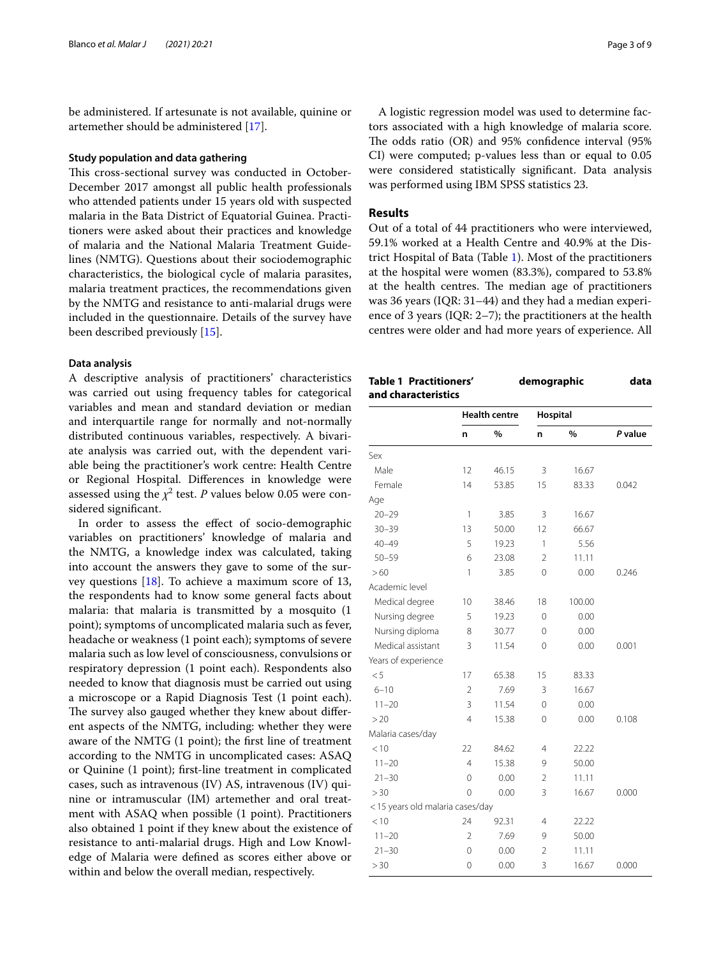be administered. If artesunate is not available, quinine or artemether should be administered [[17](#page-8-16)].

#### **Study population and data gathering**

This cross-sectional survey was conducted in October-December 2017 amongst all public health professionals who attended patients under 15 years old with suspected malaria in the Bata District of Equatorial Guinea. Practitioners were asked about their practices and knowledge of malaria and the National Malaria Treatment Guidelines (NMTG). Questions about their sociodemographic characteristics, the biological cycle of malaria parasites, malaria treatment practices, the recommendations given by the NMTG and resistance to anti-malarial drugs were included in the questionnaire. Details of the survey have been described previously [[15](#page-8-14)].

#### **Data analysis**

A descriptive analysis of practitioners' characteristics was carried out using frequency tables for categorical variables and mean and standard deviation or median and interquartile range for normally and not-normally distributed continuous variables, respectively. A bivariate analysis was carried out, with the dependent variable being the practitioner's work centre: Health Centre or Regional Hospital. Diferences in knowledge were assessed using the  $\chi^2$  test.  $P$  values below 0.05 were considered signifcant.

In order to assess the efect of socio-demographic variables on practitioners' knowledge of malaria and the NMTG, a knowledge index was calculated, taking into account the answers they gave to some of the survey questions [\[18\]](#page-8-17). To achieve a maximum score of 13, the respondents had to know some general facts about malaria: that malaria is transmitted by a mosquito (1 point); symptoms of uncomplicated malaria such as fever, headache or weakness (1 point each); symptoms of severe malaria such as low level of consciousness, convulsions or respiratory depression (1 point each). Respondents also needed to know that diagnosis must be carried out using a microscope or a Rapid Diagnosis Test (1 point each). The survey also gauged whether they knew about different aspects of the NMTG, including: whether they were aware of the NMTG (1 point); the frst line of treatment according to the NMTG in uncomplicated cases: ASAQ or Quinine (1 point); frst-line treatment in complicated cases, such as intravenous (IV) AS, intravenous (IV) quinine or intramuscular (IM) artemether and oral treatment with ASAQ when possible (1 point). Practitioners also obtained 1 point if they knew about the existence of resistance to anti-malarial drugs. High and Low Knowledge of Malaria were defned as scores either above or within and below the overall median, respectively.

A logistic regression model was used to determine factors associated with a high knowledge of malaria score. The odds ratio  $(OR)$  and 95% confidence interval  $(95\%)$ CI) were computed; p-values less than or equal to 0.05 were considered statistically signifcant. Data analysis was performed using IBM SPSS statistics 23.

# **Results**

Out of a total of 44 practitioners who were interviewed, 59.1% worked at a Health Centre and 40.9% at the District Hospital of Bata (Table [1](#page-2-0)). Most of the practitioners at the hospital were women (83.3%), compared to 53.8% at the health centres. The median age of practitioners was 36 years (IQR: 31–44) and they had a median experience of 3 years (IQR: 2–7); the practitioners at the health centres were older and had more years of experience. All

<span id="page-2-0"></span>

| and characteristics             |                      |       |                |        |         |  |
|---------------------------------|----------------------|-------|----------------|--------|---------|--|
|                                 | <b>Health centre</b> |       | Hospital       |        |         |  |
|                                 | n                    | %     | n              | %      | P value |  |
| Sex                             |                      |       |                |        |         |  |
| Male                            | 12                   | 46.15 | 3              | 16.67  |         |  |
| Female                          | 14                   | 53.85 | 15             | 83.33  | 0.042   |  |
| Age                             |                      |       |                |        |         |  |
| $20 - 29$                       | 1                    | 3.85  | 3              | 16.67  |         |  |
| $30 - 39$                       | 13                   | 50.00 | 12             | 66.67  |         |  |
| $40 - 49$                       | 5                    | 19.23 | 1              | 5.56   |         |  |
| $50 - 59$                       | 6                    | 23.08 | $\overline{2}$ | 11.11  |         |  |
| >60                             | 1                    | 3.85  | 0              | 0.00   | 0.246   |  |
| Academic level                  |                      |       |                |        |         |  |
| Medical degree                  | 10                   | 38.46 | 18             | 100.00 |         |  |
| Nursing degree                  | 5                    | 19.23 | 0              | 0.00   |         |  |
| Nursing diploma                 | 8                    | 30.77 | $\Omega$       | 0.00   |         |  |
| Medical assistant               | 3                    | 11.54 | 0              | 0.00   | 0.001   |  |
| Years of experience             |                      |       |                |        |         |  |
| < 5                             | 17                   | 65.38 | 15             | 83.33  |         |  |
| $6 - 10$                        | 2                    | 7.69  | 3              | 16.67  |         |  |
| $11 - 20$                       | 3                    | 11.54 | 0              | 0.00   |         |  |
| >20                             | $\overline{4}$       | 15.38 | $\Omega$       | 0.00   | 0.108   |  |
| Malaria cases/day               |                      |       |                |        |         |  |
| < 10                            | 22                   | 84.62 | 4              | 22.22  |         |  |
| $11 - 20$                       | 4                    | 15.38 | 9              | 50.00  |         |  |
| $21 - 30$                       | 0                    | 0.00  | 2              | 11.11  |         |  |
| > 30                            | 0                    | 0.00  | 3              | 16.67  | 0.000   |  |
| <15 years old malaria cases/day |                      |       |                |        |         |  |
| < 10                            | 24                   | 92.31 | 4              | 22.22  |         |  |
| $11 - 20$                       | $\overline{2}$       | 7.69  | 9              | 50.00  |         |  |
| $21 - 30$                       | $\Omega$             | 0.00  | $\overline{2}$ | 11.11  |         |  |
| > 30                            | 0                    | 0.00  | 3              | 16.67  | 0.000   |  |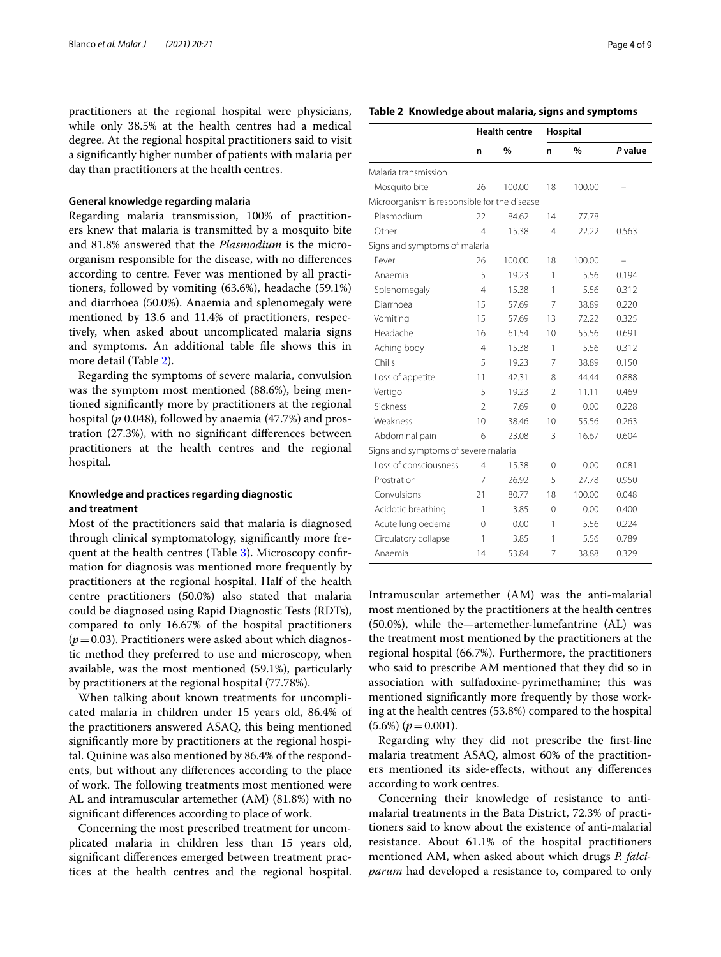practitioners at the regional hospital were physicians, while only 38.5% at the health centres had a medical degree. At the regional hospital practitioners said to visit a signifcantly higher number of patients with malaria per day than practitioners at the health centres.

## **General knowledge regarding malaria**

Regarding malaria transmission, 100% of practitioners knew that malaria is transmitted by a mosquito bite and 81.8% answered that the *Plasmodium* is the microorganism responsible for the disease, with no diferences according to centre. Fever was mentioned by all practitioners, followed by vomiting (63.6%), headache (59.1%) and diarrhoea (50.0%). Anaemia and splenomegaly were mentioned by 13.6 and 11.4% of practitioners, respectively, when asked about uncomplicated malaria signs and symptoms. An additional table fle shows this in more detail (Table [2](#page-3-0)).

Regarding the symptoms of severe malaria, convulsion was the symptom most mentioned (88.6%), being mentioned signifcantly more by practitioners at the regional hospital (*p* 0.048), followed by anaemia (47.7%) and prostration (27.3%), with no signifcant diferences between practitioners at the health centres and the regional hospital.

# **Knowledge and practices regarding diagnostic and treatment**

Most of the practitioners said that malaria is diagnosed through clinical symptomatology, signifcantly more frequent at the health centres (Table [3\)](#page-4-0). Microscopy confrmation for diagnosis was mentioned more frequently by practitioners at the regional hospital. Half of the health centre practitioners (50.0%) also stated that malaria could be diagnosed using Rapid Diagnostic Tests (RDTs), compared to only 16.67% of the hospital practitioners  $(p=0.03)$ . Practitioners were asked about which diagnostic method they preferred to use and microscopy, when available, was the most mentioned (59.1%), particularly by practitioners at the regional hospital (77.78%).

When talking about known treatments for uncomplicated malaria in children under 15 years old, 86.4% of the practitioners answered ASAQ, this being mentioned signifcantly more by practitioners at the regional hospital. Quinine was also mentioned by 86.4% of the respondents, but without any diferences according to the place of work. The following treatments most mentioned were AL and intramuscular artemether (AM) (81.8%) with no signifcant diferences according to place of work.

Concerning the most prescribed treatment for uncomplicated malaria in children less than 15 years old, signifcant diferences emerged between treatment practices at the health centres and the regional hospital.

## <span id="page-3-0"></span>**Table 2 Knowledge about malaria, signs and symptoms**

|                                              | <b>Health centre</b> |        | Hospital                 |        |         |  |  |  |
|----------------------------------------------|----------------------|--------|--------------------------|--------|---------|--|--|--|
|                                              | n                    | %      | n                        | %      | P value |  |  |  |
| Malaria transmission                         |                      |        |                          |        |         |  |  |  |
| Mosquito bite                                | 26                   | 100.00 | 18                       | 100.00 |         |  |  |  |
| Microorganism is responsible for the disease |                      |        |                          |        |         |  |  |  |
| Plasmodium                                   | 22                   | 84.62  | 14                       | 77.78  |         |  |  |  |
| Other                                        | 4                    | 15.38  | 4                        | 22.22  | 0.563   |  |  |  |
| Signs and symptoms of malaria                |                      |        |                          |        |         |  |  |  |
| Fever                                        | 26                   | 100.00 | 18                       | 100.00 |         |  |  |  |
| Anaemia                                      | 5                    | 19.23  | 1                        | 5.56   | 0.194   |  |  |  |
| Splenomegaly                                 | 4                    | 15.38  | 1                        | 5.56   | 0.312   |  |  |  |
| Diarrhoea                                    | 15                   | 57.69  | 7                        | 38.89  | 0.220   |  |  |  |
| Vomiting                                     | 15                   | 57.69  | 13                       | 72.22  | 0.325   |  |  |  |
| Headache                                     | 16                   | 61.54  | 10                       | 55.56  | 0.691   |  |  |  |
| Aching body                                  | 4                    | 15.38  | 1                        | 5.56   | 0.312   |  |  |  |
| Chills                                       | 5                    | 19.23  | 7                        | 38.89  | 0.150   |  |  |  |
| Loss of appetite                             | 11                   | 42.31  | 8                        | 44.44  | 0.888   |  |  |  |
| Vertigo                                      | 5                    | 19.23  | $\overline{\phantom{a}}$ | 11.11  | 0.469   |  |  |  |
| Sickness                                     | $\overline{2}$       | 7.69   | $\Omega$                 | 0.00   | 0.228   |  |  |  |
| Weakness                                     | 10                   | 38.46  | 10                       | 55.56  | 0.263   |  |  |  |
| Abdominal pain                               | 6                    | 23.08  | 3                        | 16.67  | 0.604   |  |  |  |
| Signs and symptoms of severe malaria         |                      |        |                          |        |         |  |  |  |
| Loss of consciousness                        | 4                    | 15.38  | 0                        | 0.00   | 0.081   |  |  |  |
| Prostration                                  | 7                    | 26.92  | 5                        | 27.78  | 0.950   |  |  |  |
| Convulsions                                  | 21                   | 80.77  | 18                       | 100.00 | 0.048   |  |  |  |
| Acidotic breathing                           | 1                    | 3.85   | 0                        | 0.00   | 0.400   |  |  |  |
| Acute lung oedema                            | 0                    | 0.00   | 1                        | 5.56   | 0.224   |  |  |  |
| Circulatory collapse                         | 1                    | 3.85   | 1                        | 5.56   | 0.789   |  |  |  |
| Anaemia                                      | 14                   | 53.84  | 7                        | 38.88  | 0.329   |  |  |  |

Intramuscular artemether (AM) was the anti-malarial most mentioned by the practitioners at the health centres (50.0%), while the—artemether-lumefantrine (AL) was the treatment most mentioned by the practitioners at the regional hospital (66.7%). Furthermore, the practitioners who said to prescribe AM mentioned that they did so in association with sulfadoxine-pyrimethamine; this was mentioned signifcantly more frequently by those working at the health centres (53.8%) compared to the hospital  $(5.6\%) (p=0.001).$ 

Regarding why they did not prescribe the frst-line malaria treatment ASAQ, almost 60% of the practitioners mentioned its side-efects, without any diferences according to work centres.

Concerning their knowledge of resistance to antimalarial treatments in the Bata District, 72.3% of practitioners said to know about the existence of anti-malarial resistance. About 61.1% of the hospital practitioners mentioned AM, when asked about which drugs *P. falciparum* had developed a resistance to, compared to only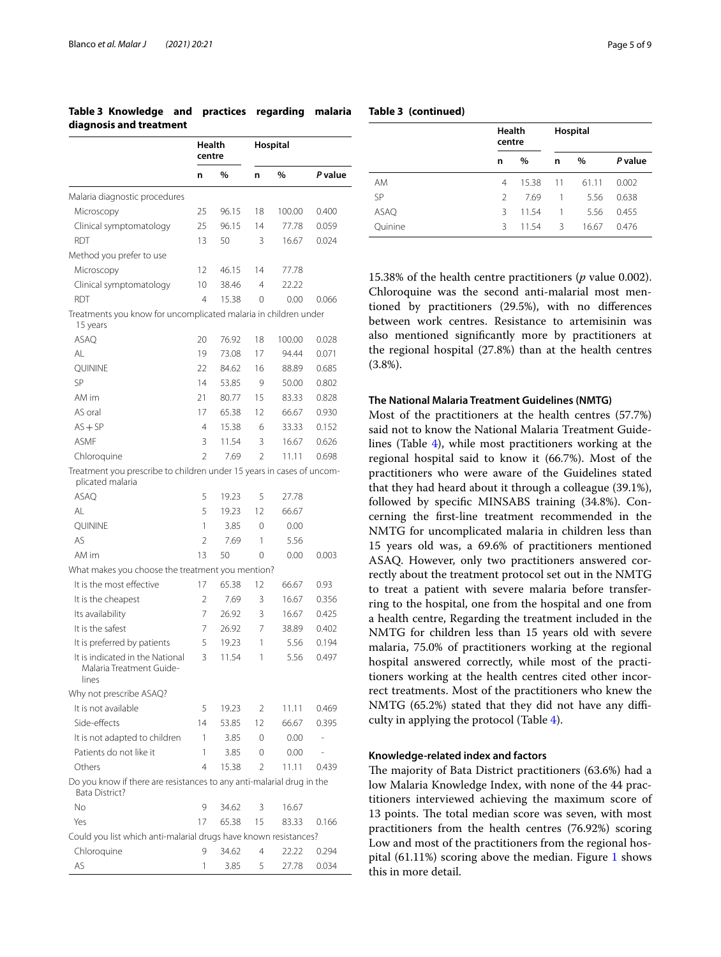|                                                                                           | Health<br>centre         |               | Hospital       |        |         |
|-------------------------------------------------------------------------------------------|--------------------------|---------------|----------------|--------|---------|
|                                                                                           | n                        | $\frac{0}{0}$ | n              | %      | P value |
| Malaria diagnostic procedures                                                             |                          |               |                |        |         |
| Microscopy                                                                                | 25                       | 96.15         | 18             | 100.00 | 0.400   |
| Clinical symptomatology                                                                   | 25                       | 96.15         | 14             | 77.78  | 0.059   |
| RDT                                                                                       | 13                       | 50            | 3              | 16.67  | 0.024   |
| Method you prefer to use                                                                  |                          |               |                |        |         |
| Microscopy                                                                                | 12                       | 46.15         | 14             | 77.78  |         |
| Clinical symptomatology                                                                   | 10                       | 38.46         | $\overline{4}$ | 22.22  |         |
| RDT                                                                                       | $\overline{4}$           | 15.38         | 0              | 0.00   | 0.066   |
| Treatments you know for uncomplicated malaria in children under<br>15 years               |                          |               |                |        |         |
| <b>ASAO</b>                                                                               | 20                       | 76.92         | 18             | 100.00 | 0.028   |
| ΑL                                                                                        | 19                       | 73.08         | 17             | 94.44  | 0.071   |
| QUININE                                                                                   | 22                       | 84.62         | 16             | 88.89  | 0.685   |
| SP                                                                                        | 14                       | 53.85         | 9              | 50.00  | 0.802   |
| AM im                                                                                     | 21                       | 80.77         | 15             | 83.33  | 0.828   |
| AS oral                                                                                   | 17                       | 65.38         | 12             | 66.67  | 0.930   |
| $AS + SP$                                                                                 | 4                        | 15.38         | 6              | 33.33  | 0.152   |
| <b>ASMF</b>                                                                               | 3                        | 11.54         | 3              | 16.67  | 0.626   |
| Chloroquine                                                                               | $\overline{\phantom{a}}$ | 7.69          | $\mathfrak{D}$ | 11.11  | 0.698   |
| Treatment you prescribe to children under 15 years in cases of uncom-<br>plicated malaria |                          |               |                |        |         |
| <b>ASAO</b>                                                                               | 5                        | 19.23         | 5              | 27.78  |         |
| AL                                                                                        | 5                        | 19.23         | 12             | 66.67  |         |
| QUININE                                                                                   | 1                        | 3.85          | 0              | 0.00   |         |
| AS                                                                                        | 2                        | 7.69          | 1              | 5.56   |         |
| AM im                                                                                     | 13                       | 50            | 0              | 0.00   | 0.003   |
| What makes you choose the treatment you mention?                                          |                          |               |                |        |         |
| It is the most effective                                                                  | 17                       | 65.38         | 12             | 66.67  | 0.93    |
| It is the cheapest                                                                        | 2                        | 7.69          | 3              | 16.67  | 0.356   |
| Its availability                                                                          | 7                        | 26.92         | 3              | 16.67  | 0.425   |
| It is the safest                                                                          | 7                        | 26.92         | 7              | 38.89  | 0.402   |
| It is preferred by patients                                                               | 5                        | 19.23         | 1              | 5.56   | 0.194   |
| It is indicated in the National<br>Malaria Treatment Guide-<br>lines                      | 3                        | 11.54         | 1              | 5.56   | 0.497   |
| Why not prescribe ASAQ?                                                                   |                          |               |                |        |         |
| It is not available                                                                       | 5                        | 19.23         | 2              | 11.11  | 0.469   |
| Side-effects                                                                              | 14                       | 53.85         | 12             | 66.67  | 0.395   |
| It is not adapted to children                                                             | 1                        | 3.85          | 0              | 0.00   |         |
| Patients do not like it                                                                   | 1                        | 3.85          | 0              | 0.00   |         |
| Others                                                                                    | 4                        | 15.38         | 2              | 11.11  | 0.439   |
| Do you know if there are resistances to any anti-malarial drug in the<br>Bata District?   |                          |               |                |        |         |
| No                                                                                        | 9                        | 34.62         | 3              | 16.67  |         |
| Yes                                                                                       | 17                       | 65.38         | 15             | 83.33  | 0.166   |
| Could you list which anti-malarial drugs have known resistances?                          |                          |               |                |        |         |
| Chloroquine                                                                               | 9                        | 34.62         | 4              | 22.22  | 0.294   |
| AS                                                                                        | 1                        | 3.85          | 5              | 27.78  | 0.034   |

# <span id="page-4-0"></span>**Table 3 Knowledge and practices regarding malaria diagnosis and treatment**

|         | <b>Health</b><br>centre |       | Hospital |       |         |
|---------|-------------------------|-------|----------|-------|---------|
|         | n                       | $\%$  | n        | $\%$  | P value |
| AM      | 4                       | 15.38 | 11       | 61.11 | 0.002   |
| SP      | $\mathcal{P}$           | 7.69  | 1        | 5.56  | 0.638   |
| ASAQ    | 3                       | 11.54 | 1        | 5.56  | 0.455   |
| Quinine | Β                       | 11.54 | 3        | 16.67 | 0.476   |

15.38% of the health centre practitioners (*p* value 0.002). Chloroquine was the second anti-malarial most mentioned by practitioners (29.5%), with no diferences between work centres. Resistance to artemisinin was also mentioned signifcantly more by practitioners at the regional hospital (27.8%) than at the health centres (3.8%).

#### **The National Malaria Treatment Guidelines (NMTG)**

Most of the practitioners at the health centres (57.7%) said not to know the National Malaria Treatment Guidelines (Table [4\)](#page-5-0), while most practitioners working at the regional hospital said to know it (66.7%). Most of the practitioners who were aware of the Guidelines stated that they had heard about it through a colleague (39.1%), followed by specifc MINSABS training (34.8%). Concerning the frst-line treatment recommended in the NMTG for uncomplicated malaria in children less than 15 years old was, a 69.6% of practitioners mentioned ASAQ. However, only two practitioners answered correctly about the treatment protocol set out in the NMTG to treat a patient with severe malaria before transferring to the hospital, one from the hospital and one from a health centre, Regarding the treatment included in the NMTG for children less than 15 years old with severe malaria, 75.0% of practitioners working at the regional hospital answered correctly, while most of the practitioners working at the health centres cited other incorrect treatments. Most of the practitioners who knew the NMTG (65.2%) stated that they did not have any difficulty in applying the protocol (Table [4\)](#page-5-0).

#### **Knowledge‑related index and factors**

The majority of Bata District practitioners (63.6%) had a low Malaria Knowledge Index, with none of the 44 practitioners interviewed achieving the maximum score of 13 points. The total median score was seven, with most practitioners from the health centres (76.92%) scoring Low and most of the practitioners from the regional hospital (61.11%) scoring above the median. Figure [1](#page-6-0) shows this in more detail.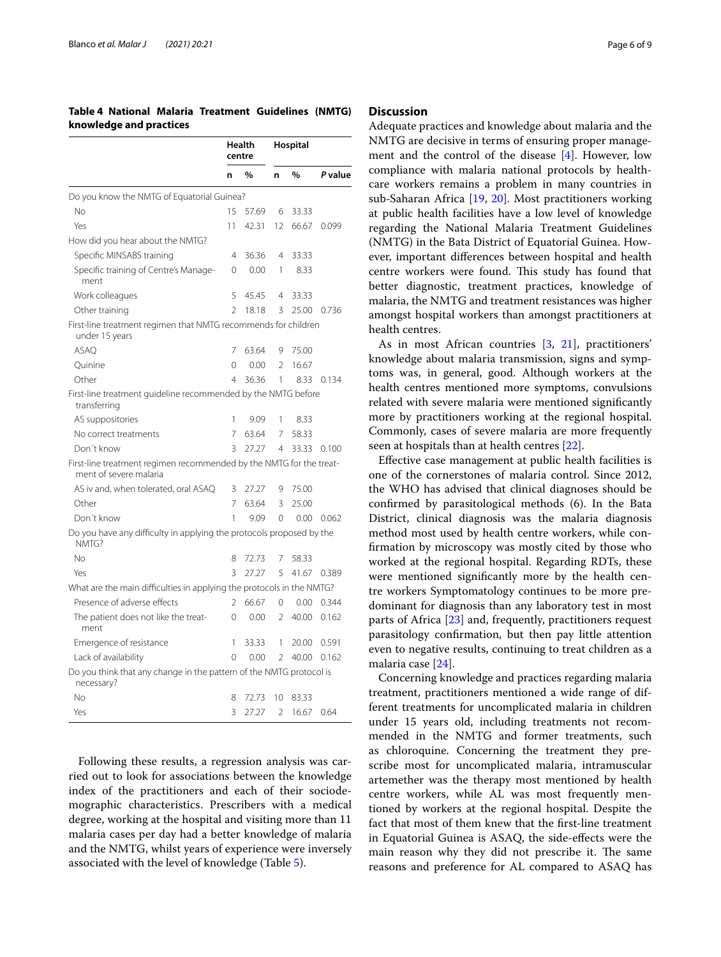# <span id="page-5-0"></span>**Table 4 National Malaria Treatment Guidelines (NMTG) knowledge and practices**

|                                                                                               |                | Health<br>centre |                | Hospital |         |
|-----------------------------------------------------------------------------------------------|----------------|------------------|----------------|----------|---------|
|                                                                                               | n              | %                | n              | %        | P value |
| Do you know the NMTG of Equatorial Guinea?                                                    |                |                  |                |          |         |
| No                                                                                            | 15             | 57.69            | 6              | 33.33    |         |
| Yes                                                                                           | 11             | 42.31            | 12             | 66.67    | 0.099   |
| How did you hear about the NMTG?                                                              |                |                  |                |          |         |
| Specific MINSABS training                                                                     | $\overline{4}$ | 36.36            | 4              | 33.33    |         |
| Specific training of Centre's Manage-<br>ment                                                 | $\Omega$       | 0.00             | 1              | 8.33     |         |
| Work colleagues                                                                               | 5              | 45.45            | $\overline{4}$ | 33.33    |         |
| Other training                                                                                | $\mathfrak{D}$ | 18.18            | 3              | 25.00    | 0.736   |
| First-line treatment regimen that NMTG recommends for children<br>under 15 years              |                |                  |                |          |         |
| <b>ASAO</b>                                                                                   | 7              | 63.64            | 9              | 75.00    |         |
| Quinine                                                                                       | $\Omega$       | 0.00             | 2              | 16.67    |         |
| Other                                                                                         | 4              | 36.36            | 1              | 8.33     | 0.134   |
| First-line treatment guideline recommended by the NMTG before<br>transferring                 |                |                  |                |          |         |
| AS suppositories                                                                              | 1              | 9.09             | 1              | 8.33     |         |
| No correct treatments                                                                         | 7              | 63.64            | 7              | 58.33    |         |
| Don't know                                                                                    | 3              | 27.27            | 4              | 33.33    | 0.100   |
| First-line treatment regimen recommended by the NMTG for the treat-<br>ment of severe malaria |                |                  |                |          |         |
| AS iv and, when tolerated, oral ASAQ                                                          | 3              | 27.27            | 9              | 75.00    |         |
| Other                                                                                         | 7              | 63.64            | ζ              | 25.00    |         |
| Don't know                                                                                    | 1              | 9.09             | $\Omega$       | 0.00     | 0.062   |
| Do you have any difficulty in applying the protocols proposed by the<br>NMTG?                 |                |                  |                |          |         |
| No                                                                                            | 8              | 72.73            | 7              | 58.33    |         |
| Yes                                                                                           | 3              | 27.27            | 5              | 41.67    | 0.389   |
| What are the main difficulties in applying the protocols in the NMTG?                         |                |                  |                |          |         |
| Presence of adverse effects                                                                   | 2              | 66.67            | 0              | 0.00     | 0.344   |
| The patient does not like the treat-<br>ment                                                  | $\Omega$       | 0.00             | $\mathfrak{D}$ | 40.00    | 0.162   |
| Emergence of resistance                                                                       | 1              | 33.33            | 1              | 20.00    | 0.591   |
| Lack of availability                                                                          | 0              | 0.00             | 2              | 40.00    | 0.162   |
| Do you think that any change in the pattern of the NMTG protocol is<br>necessary?             |                |                  |                |          |         |
| Nο                                                                                            | 8              | 72.73            | 10             | 83.33    |         |
| Yes                                                                                           | 3              | 27.27            | 2              | 16.67    | 0.64    |

Following these results, a regression analysis was carried out to look for associations between the knowledge index of the practitioners and each of their sociodemographic characteristics. Prescribers with a medical degree, working at the hospital and visiting more than 11 malaria cases per day had a better knowledge of malaria and the NMTG, whilst years of experience were inversely associated with the level of knowledge (Table [5\)](#page-6-1).

# **Discussion**

Adequate practices and knowledge about malaria and the NMTG are decisive in terms of ensuring proper management and the control of the disease [[4\]](#page-8-3). However, low compliance with malaria national protocols by healthcare workers remains a problem in many countries in sub-Saharan Africa [[19](#page-8-18), [20\]](#page-8-19). Most practitioners working at public health facilities have a low level of knowledge regarding the National Malaria Treatment Guidelines (NMTG) in the Bata District of Equatorial Guinea. However, important diferences between hospital and health centre workers were found. This study has found that better diagnostic, treatment practices, knowledge of malaria, the NMTG and treatment resistances was higher amongst hospital workers than amongst practitioners at health centres.

As in most African countries [\[3](#page-8-2), [21](#page-8-20)], practitioners' knowledge about malaria transmission, signs and symptoms was, in general, good. Although workers at the health centres mentioned more symptoms, convulsions related with severe malaria were mentioned signifcantly more by practitioners working at the regional hospital. Commonly, cases of severe malaria are more frequently seen at hospitals than at health centres [[22](#page-8-21)].

Efective case management at public health facilities is one of the cornerstones of malaria control. Since 2012, the WHO has advised that clinical diagnoses should be confrmed by parasitological methods (6). In the Bata District, clinical diagnosis was the malaria diagnosis method most used by health centre workers, while confrmation by microscopy was mostly cited by those who worked at the regional hospital. Regarding RDTs, these were mentioned signifcantly more by the health centre workers Symptomatology continues to be more predominant for diagnosis than any laboratory test in most parts of Africa [[23](#page-8-22)] and, frequently, practitioners request parasitology confrmation, but then pay little attention even to negative results, continuing to treat children as a malaria case [[24](#page-8-23)].

Concerning knowledge and practices regarding malaria treatment, practitioners mentioned a wide range of different treatments for uncomplicated malaria in children under 15 years old, including treatments not recommended in the NMTG and former treatments, such as chloroquine. Concerning the treatment they prescribe most for uncomplicated malaria, intramuscular artemether was the therapy most mentioned by health centre workers, while AL was most frequently mentioned by workers at the regional hospital. Despite the fact that most of them knew that the frst-line treatment in Equatorial Guinea is ASAQ, the side-efects were the main reason why they did not prescribe it. The same reasons and preference for AL compared to ASAQ has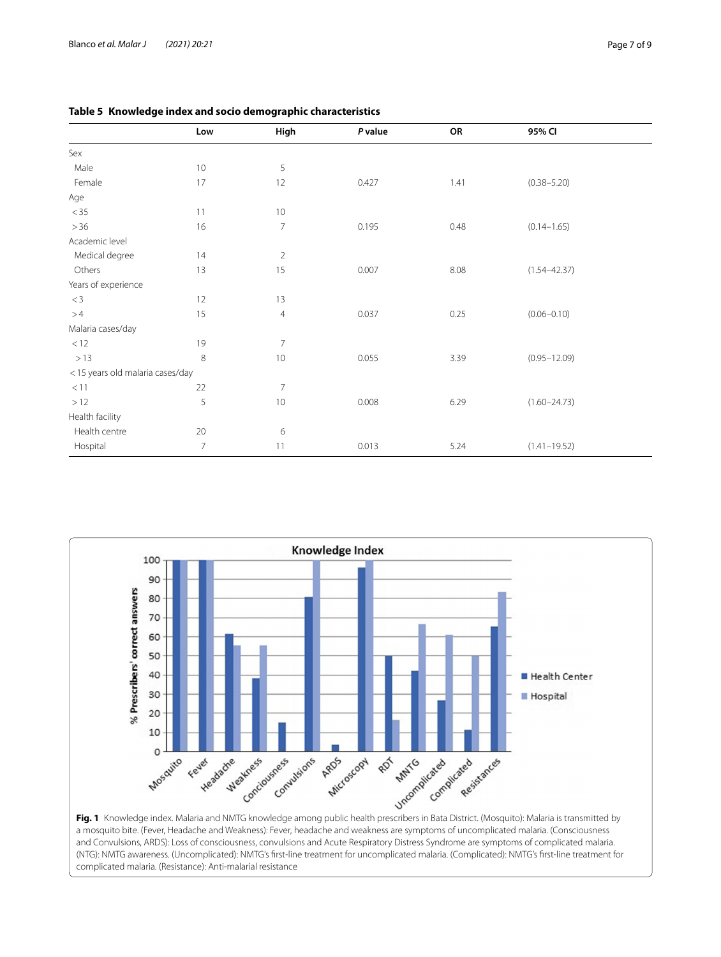<span id="page-6-1"></span>

|  |  |  |  | Table 5 Knowledge index and socio demographic characteristics |
|--|--|--|--|---------------------------------------------------------------|
|--|--|--|--|---------------------------------------------------------------|

|                                 | Low            | High           | P value | OR   | 95% CI           |
|---------------------------------|----------------|----------------|---------|------|------------------|
| Sex                             |                |                |         |      |                  |
| Male                            | 10             | 5              |         |      |                  |
| Female                          | 17             | 12             | 0.427   | 1.41 | $(0.38 - 5.20)$  |
| Age                             |                |                |         |      |                  |
| $<$ 35                          | 11             | 10             |         |      |                  |
| $>36$                           | 16             | 7              | 0.195   | 0.48 | $(0.14 - 1.65)$  |
| Academic level                  |                |                |         |      |                  |
| Medical degree                  | 14             | $\overline{2}$ |         |      |                  |
| Others                          | 13             | 15             | 0.007   | 8.08 | $(1.54 - 42.37)$ |
| Years of experience             |                |                |         |      |                  |
| $\rm < 3$                       | 12             | 13             |         |      |                  |
| >4                              | 15             | $\overline{4}$ | 0.037   | 0.25 | $(0.06 - 0.10)$  |
| Malaria cases/day               |                |                |         |      |                  |
| < 12                            | 19             | $\overline{7}$ |         |      |                  |
| >13                             | 8              | 10             | 0.055   | 3.39 | $(0.95 - 12.09)$ |
| <15 years old malaria cases/day |                |                |         |      |                  |
| < 11                            | 22             | $\overline{7}$ |         |      |                  |
| $>12$                           | 5              | 10             | 0.008   | 6.29 | $(1.60 - 24.73)$ |
| Health facility                 |                |                |         |      |                  |
| Health centre                   | 20             | 6              |         |      |                  |
| Hospital                        | $\overline{7}$ | 11             | 0.013   | 5.24 | $(1.41 - 19.52)$ |



<span id="page-6-0"></span>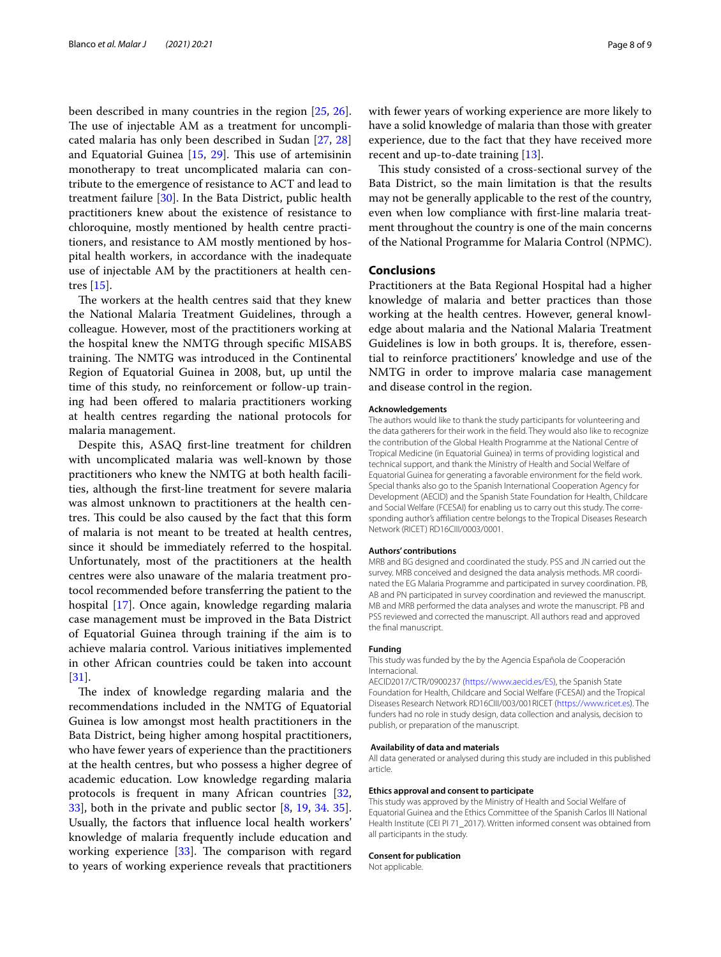been described in many countries in the region [\[25](#page-8-24), [26](#page-8-25)]. The use of injectable AM as a treatment for uncomplicated malaria has only been described in Sudan [\[27](#page-8-26), [28](#page-8-27)] and Equatorial Guinea  $[15, 29]$  $[15, 29]$  $[15, 29]$  $[15, 29]$ . This use of artemisinin monotherapy to treat uncomplicated malaria can contribute to the emergence of resistance to ACT and lead to treatment failure [[30](#page-8-29)]. In the Bata District, public health practitioners knew about the existence of resistance to chloroquine, mostly mentioned by health centre practitioners, and resistance to AM mostly mentioned by hospital health workers, in accordance with the inadequate use of injectable AM by the practitioners at health centres [\[15](#page-8-14)].

The workers at the health centres said that they knew the National Malaria Treatment Guidelines, through a colleague. However, most of the practitioners working at the hospital knew the NMTG through specifc MISABS training. The NMTG was introduced in the Continental Region of Equatorial Guinea in 2008, but, up until the time of this study, no reinforcement or follow-up training had been offered to malaria practitioners working at health centres regarding the national protocols for malaria management.

Despite this, ASAQ frst-line treatment for children with uncomplicated malaria was well-known by those practitioners who knew the NMTG at both health facilities, although the frst-line treatment for severe malaria was almost unknown to practitioners at the health centres. This could be also caused by the fact that this form of malaria is not meant to be treated at health centres, since it should be immediately referred to the hospital. Unfortunately, most of the practitioners at the health centres were also unaware of the malaria treatment protocol recommended before transferring the patient to the hospital [\[17](#page-8-16)]. Once again, knowledge regarding malaria case management must be improved in the Bata District of Equatorial Guinea through training if the aim is to achieve malaria control. Various initiatives implemented in other African countries could be taken into account [[31\]](#page-8-30).

The index of knowledge regarding malaria and the recommendations included in the NMTG of Equatorial Guinea is low amongst most health practitioners in the Bata District, being higher among hospital practitioners, who have fewer years of experience than the practitioners at the health centres, but who possess a higher degree of academic education. Low knowledge regarding malaria protocols is frequent in many African countries [\[32](#page-8-31), [33\]](#page-8-32), both in the private and public sector [[8](#page-8-7), [19,](#page-8-18) [34.](#page-8-33) [35](#page-8-33)]. Usually, the factors that infuence local health workers' knowledge of malaria frequently include education and working experience  $[33]$  $[33]$ . The comparison with regard to years of working experience reveals that practitioners with fewer years of working experience are more likely to have a solid knowledge of malaria than those with greater experience, due to the fact that they have received more recent and up-to-date training [\[13\]](#page-8-12).

This study consisted of a cross-sectional survey of the Bata District, so the main limitation is that the results may not be generally applicable to the rest of the country, even when low compliance with frst-line malaria treatment throughout the country is one of the main concerns of the National Programme for Malaria Control (NPMC).

# **Conclusions**

Practitioners at the Bata Regional Hospital had a higher knowledge of malaria and better practices than those working at the health centres. However, general knowledge about malaria and the National Malaria Treatment Guidelines is low in both groups. It is, therefore, essential to reinforce practitioners' knowledge and use of the NMTG in order to improve malaria case management and disease control in the region.

#### **Acknowledgements**

The authors would like to thank the study participants for volunteering and the data gatherers for their work in the feld. They would also like to recognize the contribution of the Global Health Programme at the National Centre of Tropical Medicine (in Equatorial Guinea) in terms of providing logistical and technical support, and thank the Ministry of Health and Social Welfare of Equatorial Guinea for generating a favorable environment for the feld work. Special thanks also go to the Spanish International Cooperation Agency for Development (AECID) and the Spanish State Foundation for Health, Childcare and Social Welfare (FCESAI) for enabling us to carry out this study. The corresponding author's afliation centre belongs to the Tropical Diseases Research Network (RICET) RD16CIII/0003/0001.

#### **Authors' contributions**

MRB and BG designed and coordinated the study. PSS and JN carried out the survey. MRB conceived and designed the data analysis methods. MR coordinated the EG Malaria Programme and participated in survey coordination. PB, AB and PN participated in survey coordination and reviewed the manuscript. MB and MRB performed the data analyses and wrote the manuscript. PB and PSS reviewed and corrected the manuscript. All authors read and approved the fnal manuscript.

#### **Funding**

This study was funded by the by the Agencia Española de Cooperación Internacional.

AECID2017/CTR/0900237 [\(https://www.aecid.es/ES](https://www.aecid.es/ES)), the Spanish State Foundation for Health, Childcare and Social Welfare (FCESAI) and the Tropical Diseases Research Network RD16CIII/003/001RICET [\(https://www.ricet.es\)](https://www.ricet.es). The funders had no role in study design, data collection and analysis, decision to publish, or preparation of the manuscript.

#### **Availability of data and materials**

All data generated or analysed during this study are included in this published article.

#### **Ethics approval and consent to participate**

This study was approved by the Ministry of Health and Social Welfare of Equatorial Guinea and the Ethics Committee of the Spanish Carlos III National Health Institute (CEI PI 71\_2017). Written informed consent was obtained from all participants in the study.

#### **Consent for publication**

Not applicable.